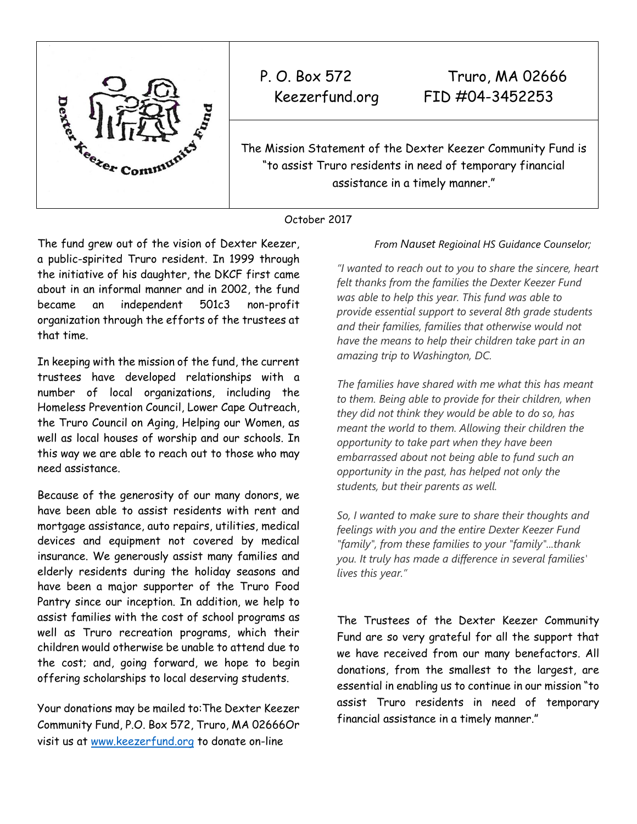

P. O. Box 572 Truro, MA 02666 Keezerfund.org FID #04-3452253

The Mission Statement of the Dexter Keezer Community Fund is "to assist Truro residents in need of temporary financial assistance in a timely manner."

## October 2017

The fund grew out of the vision of Dexter Keezer, a public-spirited Truro resident. In 1999 through the initiative of his daughter, the DKCF first came about in an informal manner and in 2002, the fund became an independent 501c3 non-profit organization through the efforts of the trustees at that time.

In keeping with the mission of the fund, the current trustees have developed relationships with a number of local organizations, including the Homeless Prevention Council, Lower Cape Outreach, the Truro Council on Aging, Helping our Women, as well as local houses of worship and our schools. In this way we are able to reach out to those who may need assistance.

Because of the generosity of our many donors, we have been able to assist residents with rent and mortgage assistance, auto repairs, utilities, medical devices and equipment not covered by medical insurance. We generously assist many families and elderly residents during the holiday seasons and have been a major supporter of the Truro Food Pantry since our inception. In addition, we help to assist families with the cost of school programs as well as Truro recreation programs, which their children would otherwise be unable to attend due to the cost; and, going forward, we hope to begin offering scholarships to local deserving students.

Your donations may be mailed to:The Dexter Keezer Community Fund, P.O. Box 572, Truro, MA 02666Or visit us at [www.keezerfund.org](http://www.keezerfund.org/) to donate on-line

# *From Nauset Regioinal HS Guidance Counselor;*

*"I wanted to reach out to you to share the sincere, heart felt thanks from the families the Dexter Keezer Fund was able to help this year. This fund was able to provide essential support to several 8th grade students and their families, families that otherwise would not have the means to help their children take part in an amazing trip to Washington, DC.*

*The families have shared with me what this has meant to them. Being able to provide for their children, when they did not think they would be able to do so, has meant the world to them. Allowing their children the opportunity to take part when they have been embarrassed about not being able to fund such an opportunity in the past, has helped not only the students, but their parents as well.*

*So, I wanted to make sure to share their thoughts and feelings with you and the entire Dexter Keezer Fund "family", from these families to your "family"...thank you. It truly has made a difference in several families' lives this year."*

The Trustees of the Dexter Keezer Community Fund are so very grateful for all the support that we have received from our many benefactors. All donations, from the smallest to the largest, are essential in enabling us to continue in our mission "to assist Truro residents in need of temporary financial assistance in a timely manner."